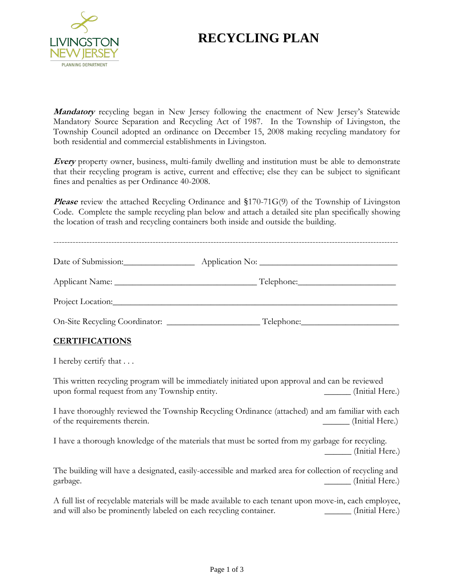

# **RECYCLING PLAN**

**Mandatory** recycling began in New Jersey following the enactment of New Jersey's Statewide Mandatory Source Separation and Recycling Act of 1987. In the Township of Livingston, the Township Council adopted an ordinance on December 15, 2008 making recycling mandatory for both residential and commercial establishments in Livingston.

**Every** property owner, business, multi-family dwelling and institution must be able to demonstrate that their recycling program is active, current and effective; else they can be subject to significant fines and penalties as per Ordinance 40-2008.

**Please** review the attached Recycling Ordinance and §170-71G(9) of the Township of Livingston Code. Complete the sample recycling plan below and attach a detailed site plan specifically showing the location of trash and recycling containers both inside and outside the building.

| Date of Submission:            |            |
|--------------------------------|------------|
|                                |            |
| Project Location:              |            |
| On-Site Recycling Coordinator: | Telephone: |

# **CERTIFICATIONS**

I hereby certify that . . .

This written recycling program will be immediately initiated upon approval and can be reviewed upon formal request from any Township entity. \_\_\_\_\_\_ (Initial Here.)

I have thoroughly reviewed the Township Recycling Ordinance (attached) and am familiar with each of the requirements therein.  $\qquad \qquad$  (Initial Here.)

I have a thorough knowledge of the materials that must be sorted from my garbage for recycling. \_\_\_\_\_\_ (Initial Here.)

The building will have a designated, easily-accessible and marked area for collection of recycling and garbage. (Initial Here.)

A full list of recyclable materials will be made available to each tenant upon move-in, each employee, and will also be prominently labeled on each recycling container. \_\_\_\_\_\_\_\_\_\_\_ (Initial Here.)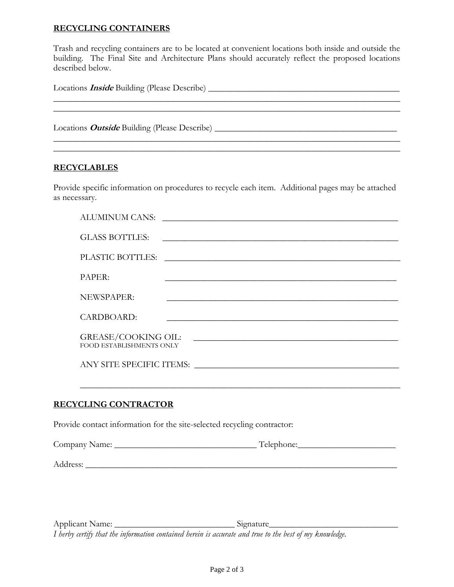### **RECYCLING CONTAINERS**

Trash and recycling containers are to be located at convenient locations both inside and outside the building. The Final Site and Architecture Plans should accurately reflect the proposed locations described below.

| Locations <i>Inside</i> Building (Please Describe) |  |  |
|----------------------------------------------------|--|--|
|                                                    |  |  |
|                                                    |  |  |
|                                                    |  |  |
|                                                    |  |  |

#### **RECYCLABLES**

Provide specific information on procedures to recycle each item. Additional pages may be attached as necessary.

| ALUMINUM CANS:                                                                                                                                                                  |
|---------------------------------------------------------------------------------------------------------------------------------------------------------------------------------|
| <b>GLASS BOTTLES:</b><br><u> 1989 - Johann Stoff, amerikansk politiker (d. 1989)</u>                                                                                            |
| PLASTIC BOTTLES:                                                                                                                                                                |
| PAPER:                                                                                                                                                                          |
| NEWSPAPER:                                                                                                                                                                      |
| CARDBOARD:                                                                                                                                                                      |
| <b>GREASE/COOKING OIL:</b><br><u> 1980 - Jan Alexandria de Alexandria de la contrada de la contrada de la contrada de la contrada de la contrad</u><br>FOOD ESTABLISHMENTS ONLY |
| ANY SITE SPECIFIC ITEMS:                                                                                                                                                        |

 $\_$  , and the set of the set of the set of the set of the set of the set of the set of the set of the set of the set of the set of the set of the set of the set of the set of the set of the set of the set of the set of th

## **RECYCLING CONTRACTOR**

Provide contact information for the site-selected recycling contractor:

| Company Name: | <del>, ,</del><br>relephone: |
|---------------|------------------------------|
|               |                              |

Address: \_\_\_\_\_\_\_\_\_\_\_\_\_\_\_\_\_\_\_\_\_\_\_\_\_\_\_\_\_\_\_\_\_\_\_\_\_\_\_\_\_\_\_\_\_\_\_\_\_\_\_\_\_\_\_\_\_\_\_\_\_\_\_\_\_\_\_\_\_\_

Applicant Name: \_\_\_\_\_\_\_\_\_\_\_\_\_\_\_\_\_\_\_\_\_\_\_\_\_\_\_ Signature\_\_\_\_\_\_\_\_\_\_\_\_\_\_\_\_\_\_\_\_\_\_\_\_\_\_\_\_\_ *I herby certify that the information contained herein is accurate and true to the best of my knowledge.*